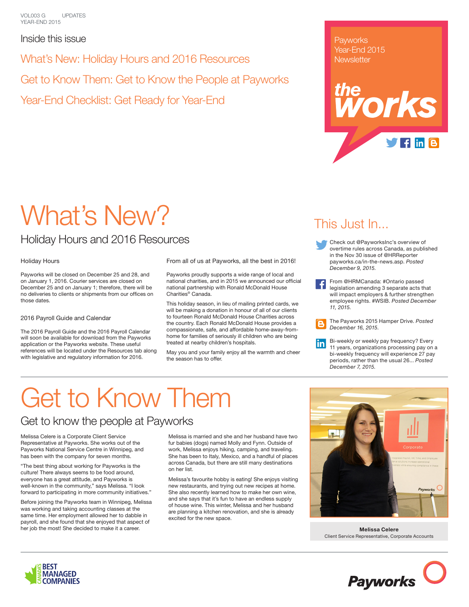VOL003 G YEAR-END 2015 UPDATES

Inside this issue

What's New: Holiday Hours and 2016 Resources

Get to Know Them: Get to Know the People at Payworks

Year-End Checklist: Get Ready for Year-End

**Payworks** Year-End 2015 **Newsletter** 



# What's New?

### Holiday Hours and 2016 Resources

#### Holiday Hours

Payworks will be closed on December 25 and 28, and on January 1, 2016. Courier services are closed on December 25 and on January 1; therefore, there will be no deliveries to clients or shipments from our offices on those dates.

2016 Payroll Guide and Calendar

The 2016 Payroll Guide and the 2016 Payroll Calendar will soon be available for download from the Payworks application or the Payworks website. These useful references will be located under the Resources tab along with legislative and regulatory information for 2016.

From all of us at Payworks, all the best in 2016!

Payworks proudly supports a wide range of local and national charities, and in 2015 we announced our official national partnership with Ronald McDonald House Charities® Canada.

This holiday season, in lieu of mailing printed cards, we will be making a donation in honour of all of our clients to fourteen Ronald McDonald House Charities across the country. Each Ronald McDonald House provides a compassionate, safe, and affordable home-away-fromhome for families of seriously ill children who are being treated at nearby children's hospitals.

May you and your family enjoy all the warmth and cheer the season has to offer.

## This Just In...

- Check out @PayworksInc's overview of overtime rules across Canada, as published in the Nov 30 issue of @HRReporter payworks.ca/in-the-news.asp. *Posted December 9, 2015.*
- From @HRMCanada: #Ontario passed legislation amending 3 separate acts that will impact employers & further strengthen employee rights. #WSIB. *Posted December 11, 2015.*

The Payworks 2015 Hamper Drive. *Posted December 16, 2015.*

Bi-weekly or weekly pay frequency? Every in. 11 years, organizations processing pay on a bi-weekly frequency will experience 27 pay periods, rather than the usual 26... *Posted December 7, 2015.* 

# Get to Know Them

### Get to know the people at Payworks

Melissa Celere is a Corporate Client Service Representative at Payworks. She works out of the Payworks National Service Centre in Winnipeg, and has been with the company for seven months.

"The best thing about working for Payworks is the culture! There always seems to be food around, everyone has a great attitude, and Payworks is well-known in the community," says Melissa. "I look forward to participating in more community initiatives."

Before joining the Payworks team in Winnipeg, Melissa was working and taking accounting classes at the same time. Her employment allowed her to dabble in payroll, and she found that she enjoyed that aspect of her job the most! She decided to make it a career.

Melissa is married and she and her husband have two fur babies (dogs) named Molly and Fynn. Outside of work, Melissa enjoys hiking, camping, and traveling. She has been to Italy, Mexico, and a handful of places across Canada, but there are still many destinations on her list.

Melissa's favourite hobby is eating! She enjoys visiting new restaurants, and trying out new recipes at home. She also recently learned how to make her own wine, and she says that it's fun to have an endless supply of house wine. This winter, Melissa and her husband are planning a kitchen renovation, and she is already excited for the new space.



**Melissa Celere** Client Service Representative, Corporate Accounts